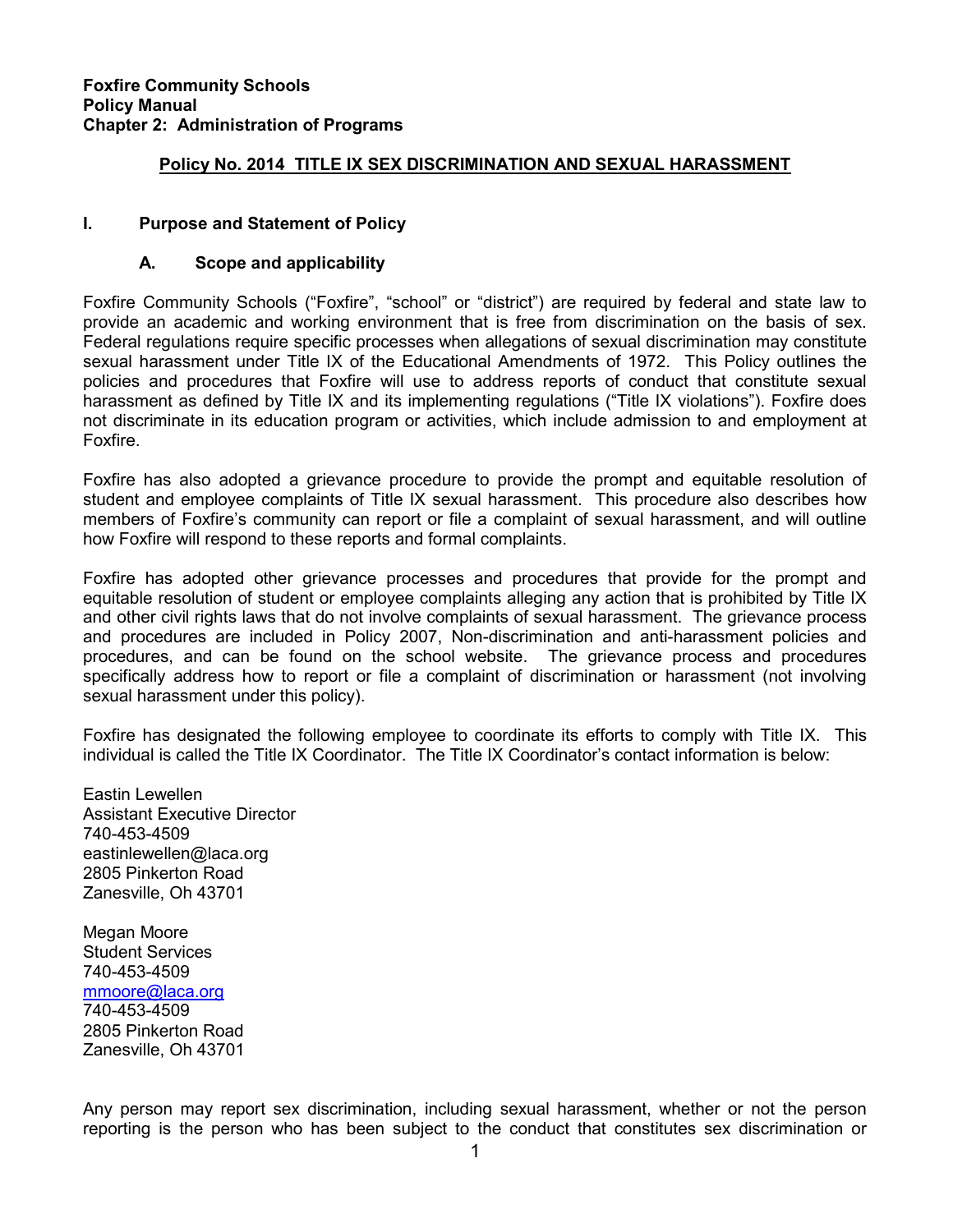#### Policy No. 2014 TITLE IX SEX DISCRIMINATION AND SEXUAL HARASSMENT

#### I. Purpose and Statement of Policy

#### A. Scope and applicability

Foxfire Community Schools ("Foxfire", "school" or "district") are required by federal and state law to provide an academic and working environment that is free from discrimination on the basis of sex. Federal regulations require specific processes when allegations of sexual discrimination may constitute sexual harassment under Title IX of the Educational Amendments of 1972. This Policy outlines the policies and procedures that Foxfire will use to address reports of conduct that constitute sexual harassment as defined by Title IX and its implementing regulations ("Title IX violations"). Foxfire does not discriminate in its education program or activities, which include admission to and employment at Foxfire.

Foxfire has also adopted a grievance procedure to provide the prompt and equitable resolution of student and employee complaints of Title IX sexual harassment. This procedure also describes how members of Foxfire's community can report or file a complaint of sexual harassment, and will outline how Foxfire will respond to these reports and formal complaints.

Foxfire has adopted other grievance processes and procedures that provide for the prompt and equitable resolution of student or employee complaints alleging any action that is prohibited by Title IX and other civil rights laws that do not involve complaints of sexual harassment. The grievance process and procedures are included in Policy 2007, Non-discrimination and anti-harassment policies and procedures, and can be found on the school website. The grievance process and procedures specifically address how to report or file a complaint of discrimination or harassment (not involving sexual harassment under this policy).

Foxfire has designated the following employee to coordinate its efforts to comply with Title IX. This individual is called the Title IX Coordinator. The Title IX Coordinator's contact information is below:

Eastin Lewellen Assistant Executive Director 740-453-4509 eastinlewellen@laca.org 2805 Pinkerton Road Zanesville, Oh 43701

Megan Moore Student Services 740-453-4509 mmoore@laca.org 740-453-4509 2805 Pinkerton Road Zanesville, Oh 43701

Any person may report sex discrimination, including sexual harassment, whether or not the person reporting is the person who has been subject to the conduct that constitutes sex discrimination or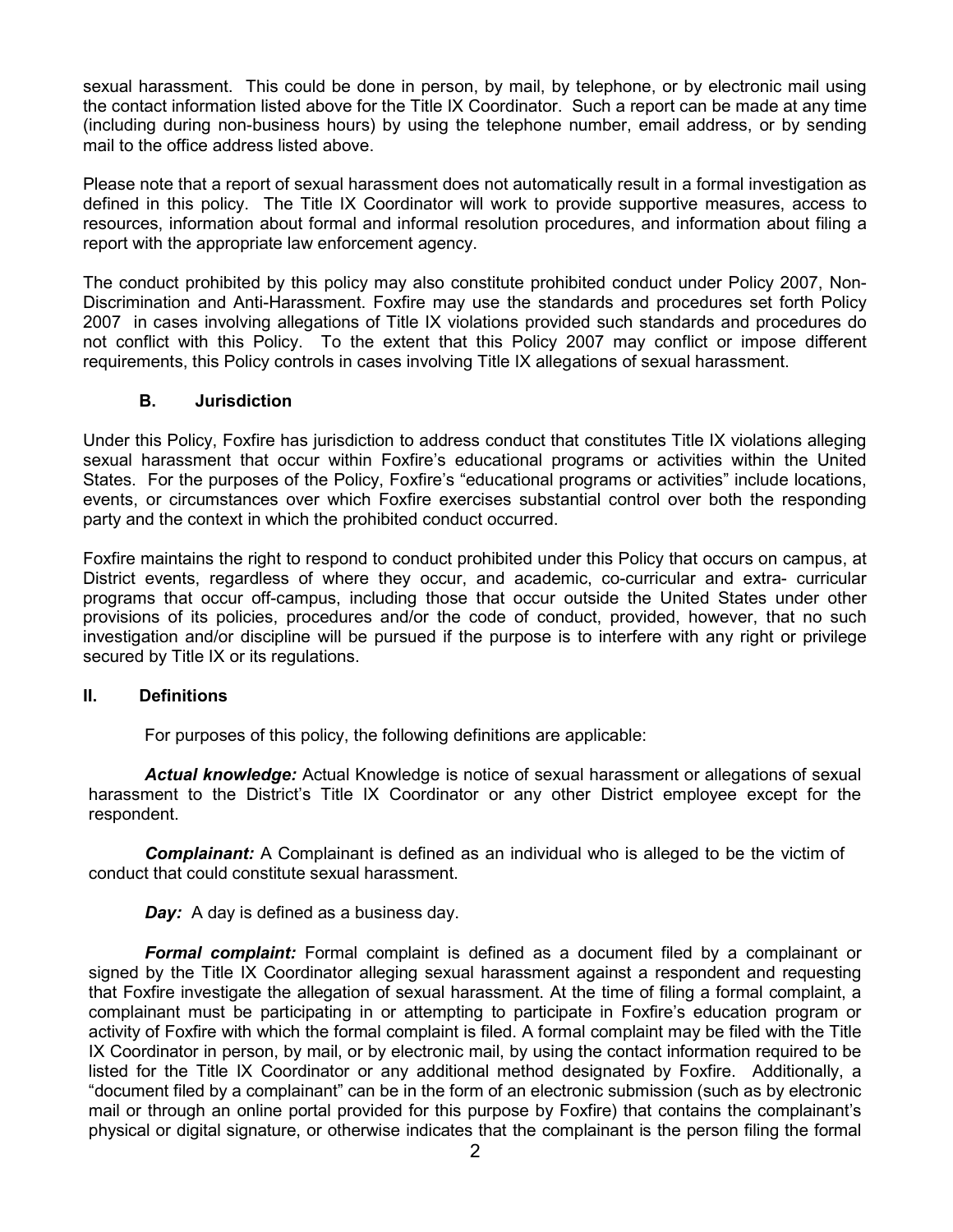sexual harassment. This could be done in person, by mail, by telephone, or by electronic mail using the contact information listed above for the Title IX Coordinator. Such a report can be made at any time (including during non-business hours) by using the telephone number, email address, or by sending mail to the office address listed above.

Please note that a report of sexual harassment does not automatically result in a formal investigation as defined in this policy. The Title IX Coordinator will work to provide supportive measures, access to resources, information about formal and informal resolution procedures, and information about filing a report with the appropriate law enforcement agency.

The conduct prohibited by this policy may also constitute prohibited conduct under Policy 2007, Non-Discrimination and Anti-Harassment. Foxfire may use the standards and procedures set forth Policy 2007 in cases involving allegations of Title IX violations provided such standards and procedures do not conflict with this Policy. To the extent that this Policy 2007 may conflict or impose different requirements, this Policy controls in cases involving Title IX allegations of sexual harassment.

#### B. Jurisdiction

Under this Policy, Foxfire has jurisdiction to address conduct that constitutes Title IX violations alleging sexual harassment that occur within Foxfire's educational programs or activities within the United States. For the purposes of the Policy, Foxfire's "educational programs or activities" include locations, events, or circumstances over which Foxfire exercises substantial control over both the responding party and the context in which the prohibited conduct occurred.

Foxfire maintains the right to respond to conduct prohibited under this Policy that occurs on campus, at District events, regardless of where they occur, and academic, co-curricular and extra- curricular programs that occur off-campus, including those that occur outside the United States under other provisions of its policies, procedures and/or the code of conduct, provided, however, that no such investigation and/or discipline will be pursued if the purpose is to interfere with any right or privilege secured by Title IX or its regulations.

#### II. Definitions

For purposes of this policy, the following definitions are applicable:

Actual knowledge: Actual Knowledge is notice of sexual harassment or allegations of sexual harassment to the District's Title IX Coordinator or any other District employee except for the respondent.

**Complainant:** A Complainant is defined as an individual who is alleged to be the victim of conduct that could constitute sexual harassment.

**Day:** A day is defined as a business day.

**Formal complaint:** Formal complaint is defined as a document filed by a complainant or signed by the Title IX Coordinator alleging sexual harassment against a respondent and requesting that Foxfire investigate the allegation of sexual harassment. At the time of filing a formal complaint, a complainant must be participating in or attempting to participate in Foxfire's education program or activity of Foxfire with which the formal complaint is filed. A formal complaint may be filed with the Title IX Coordinator in person, by mail, or by electronic mail, by using the contact information required to be listed for the Title IX Coordinator or any additional method designated by Foxfire. Additionally, a "document filed by a complainant" can be in the form of an electronic submission (such as by electronic mail or through an online portal provided for this purpose by Foxfire) that contains the complainant's physical or digital signature, or otherwise indicates that the complainant is the person filing the formal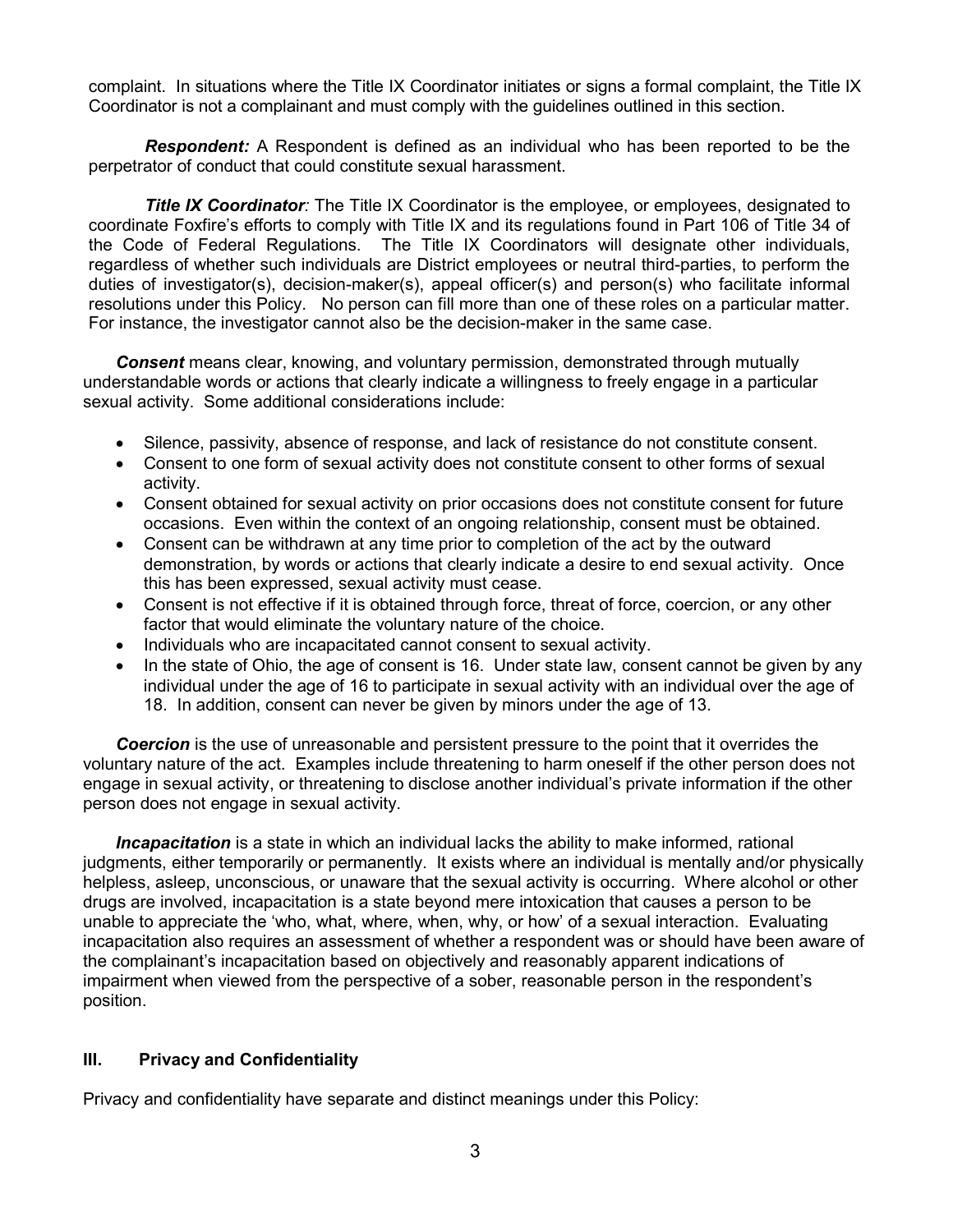complaint. In situations where the Title IX Coordinator initiates or signs a formal complaint, the Title IX Coordinator is not a complainant and must comply with the guidelines outlined in this section.

**Respondent:** A Respondent is defined as an individual who has been reported to be the perpetrator of conduct that could constitute sexual harassment.

**Title IX Coordinator**: The Title IX Coordinator is the employee, or employees, designated to coordinate Foxfire's efforts to comply with Title IX and its regulations found in Part 106 of Title 34 of the Code of Federal Regulations. The Title IX Coordinators will designate other individuals, regardless of whether such individuals are District employees or neutral third-parties, to perform the duties of investigator(s), decision-maker(s), appeal officer(s) and person(s) who facilitate informal resolutions under this Policy. No person can fill more than one of these roles on a particular matter. For instance, the investigator cannot also be the decision-maker in the same case.

**Consent** means clear, knowing, and voluntary permission, demonstrated through mutually understandable words or actions that clearly indicate a willingness to freely engage in a particular sexual activity. Some additional considerations include:

- Silence, passivity, absence of response, and lack of resistance do not constitute consent.
- Consent to one form of sexual activity does not constitute consent to other forms of sexual activity.
- Consent obtained for sexual activity on prior occasions does not constitute consent for future occasions. Even within the context of an ongoing relationship, consent must be obtained.
- Consent can be withdrawn at any time prior to completion of the act by the outward demonstration, by words or actions that clearly indicate a desire to end sexual activity. Once this has been expressed, sexual activity must cease.
- Consent is not effective if it is obtained through force, threat of force, coercion, or any other factor that would eliminate the voluntary nature of the choice.
- Individuals who are incapacitated cannot consent to sexual activity.
- In the state of Ohio, the age of consent is 16. Under state law, consent cannot be given by any individual under the age of 16 to participate in sexual activity with an individual over the age of 18. In addition, consent can never be given by minors under the age of 13.

Coercion is the use of unreasonable and persistent pressure to the point that it overrides the voluntary nature of the act. Examples include threatening to harm oneself if the other person does not engage in sexual activity, or threatening to disclose another individual's private information if the other person does not engage in sexual activity.

**Incapacitation** is a state in which an individual lacks the ability to make informed, rational judgments, either temporarily or permanently. It exists where an individual is mentally and/or physically helpless, asleep, unconscious, or unaware that the sexual activity is occurring. Where alcohol or other drugs are involved, incapacitation is a state beyond mere intoxication that causes a person to be unable to appreciate the 'who, what, where, when, why, or how' of a sexual interaction. Evaluating incapacitation also requires an assessment of whether a respondent was or should have been aware of the complainant's incapacitation based on objectively and reasonably apparent indications of impairment when viewed from the perspective of a sober, reasonable person in the respondent's position.

## III. Privacy and Confidentiality

Privacy and confidentiality have separate and distinct meanings under this Policy: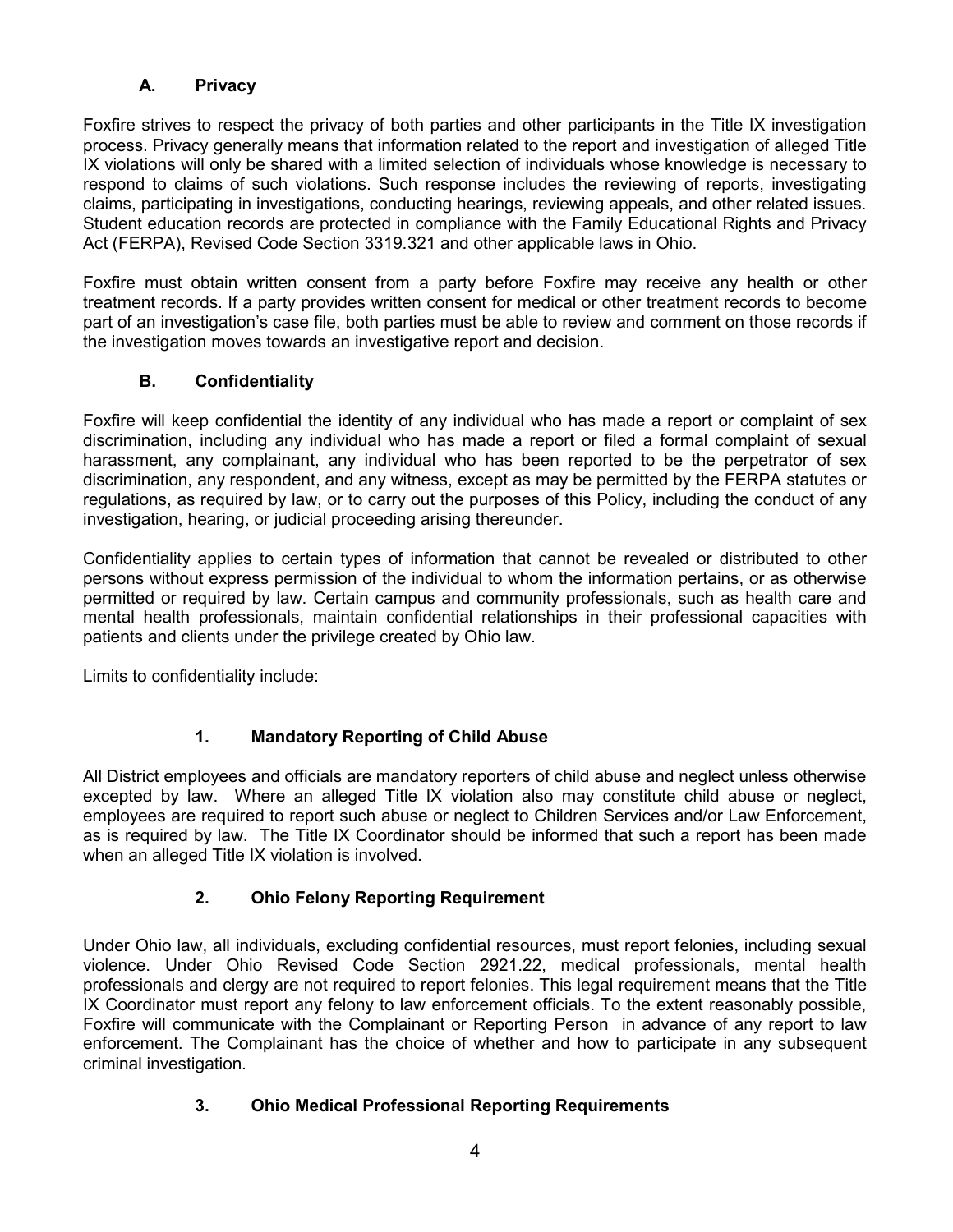# A. Privacy

Foxfire strives to respect the privacy of both parties and other participants in the Title IX investigation process. Privacy generally means that information related to the report and investigation of alleged Title IX violations will only be shared with a limited selection of individuals whose knowledge is necessary to respond to claims of such violations. Such response includes the reviewing of reports, investigating claims, participating in investigations, conducting hearings, reviewing appeals, and other related issues. Student education records are protected in compliance with the Family Educational Rights and Privacy Act (FERPA), Revised Code Section 3319.321 and other applicable laws in Ohio.

Foxfire must obtain written consent from a party before Foxfire may receive any health or other treatment records. If a party provides written consent for medical or other treatment records to become part of an investigation's case file, both parties must be able to review and comment on those records if the investigation moves towards an investigative report and decision.

## B. Confidentiality

Foxfire will keep confidential the identity of any individual who has made a report or complaint of sex discrimination, including any individual who has made a report or filed a formal complaint of sexual harassment, any complainant, any individual who has been reported to be the perpetrator of sex discrimination, any respondent, and any witness, except as may be permitted by the FERPA statutes or regulations, as required by law, or to carry out the purposes of this Policy, including the conduct of any investigation, hearing, or judicial proceeding arising thereunder.

Confidentiality applies to certain types of information that cannot be revealed or distributed to other persons without express permission of the individual to whom the information pertains, or as otherwise permitted or required by law. Certain campus and community professionals, such as health care and mental health professionals, maintain confidential relationships in their professional capacities with patients and clients under the privilege created by Ohio law.

Limits to confidentiality include:

# 1. Mandatory Reporting of Child Abuse

All District employees and officials are mandatory reporters of child abuse and neglect unless otherwise excepted by law. Where an alleged Title IX violation also may constitute child abuse or neglect, employees are required to report such abuse or neglect to Children Services and/or Law Enforcement, as is required by law. The Title IX Coordinator should be informed that such a report has been made when an alleged Title IX violation is involved.

# 2. Ohio Felony Reporting Requirement

Under Ohio law, all individuals, excluding confidential resources, must report felonies, including sexual violence. Under Ohio Revised Code Section 2921.22, medical professionals, mental health professionals and clergy are not required to report felonies. This legal requirement means that the Title IX Coordinator must report any felony to law enforcement officials. To the extent reasonably possible, Foxfire will communicate with the Complainant or Reporting Person in advance of any report to law enforcement. The Complainant has the choice of whether and how to participate in any subsequent criminal investigation.

## 3. Ohio Medical Professional Reporting Requirements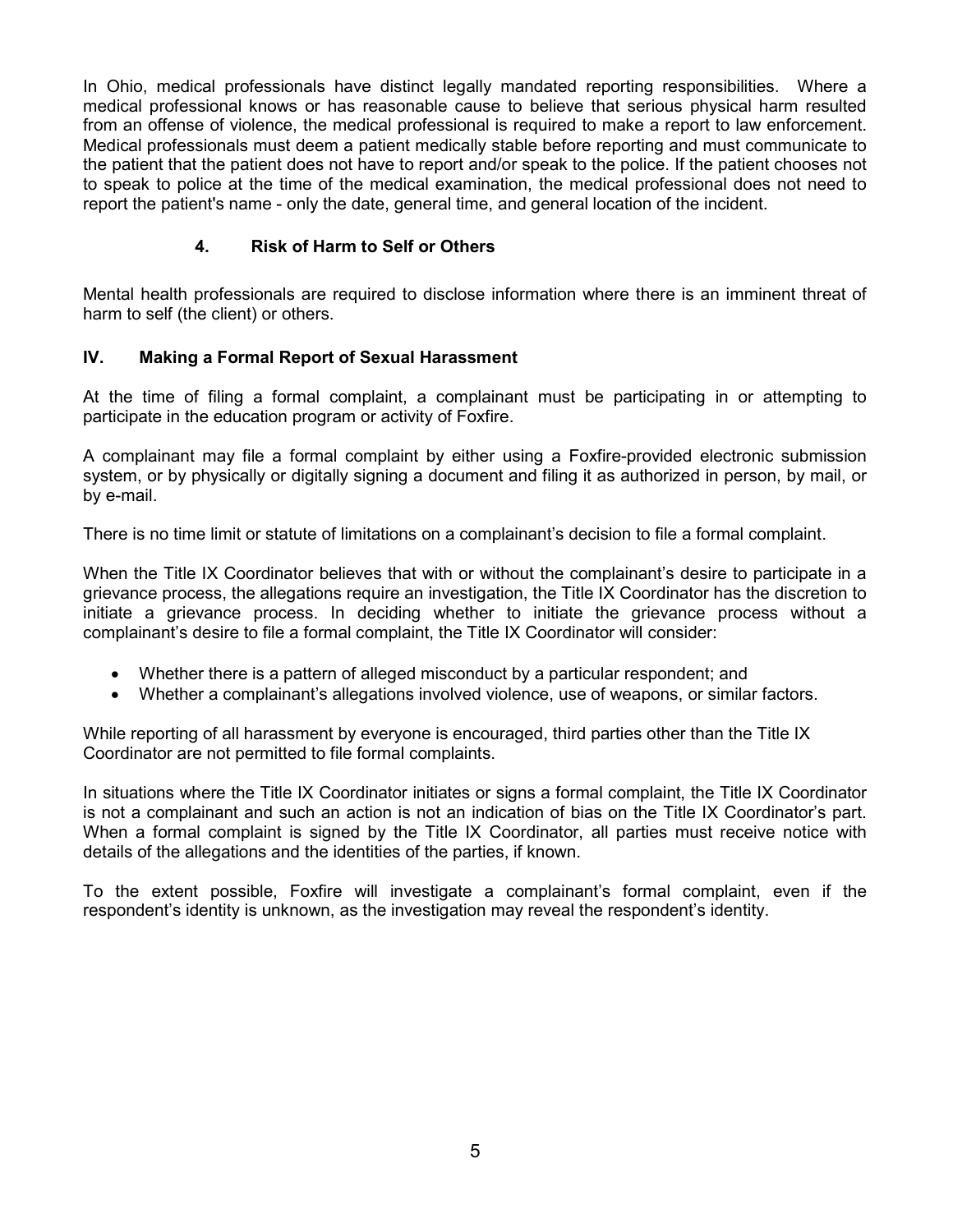In Ohio, medical professionals have distinct legally mandated reporting responsibilities. Where a medical professional knows or has reasonable cause to believe that serious physical harm resulted from an offense of violence, the medical professional is required to make a report to law enforcement. Medical professionals must deem a patient medically stable before reporting and must communicate to the patient that the patient does not have to report and/or speak to the police. If the patient chooses not to speak to police at the time of the medical examination, the medical professional does not need to report the patient's name - only the date, general time, and general location of the incident.

## 4. Risk of Harm to Self or Others

Mental health professionals are required to disclose information where there is an imminent threat of harm to self (the client) or others.

## IV. Making a Formal Report of Sexual Harassment

At the time of filing a formal complaint, a complainant must be participating in or attempting to participate in the education program or activity of Foxfire.

A complainant may file a formal complaint by either using a Foxfire-provided electronic submission system, or by physically or digitally signing a document and filing it as authorized in person, by mail, or by e-mail.

There is no time limit or statute of limitations on a complainant's decision to file a formal complaint.

When the Title IX Coordinator believes that with or without the complainant's desire to participate in a grievance process, the allegations require an investigation, the Title IX Coordinator has the discretion to initiate a grievance process. In deciding whether to initiate the grievance process without a complainant's desire to file a formal complaint, the Title IX Coordinator will consider:

- Whether there is a pattern of alleged misconduct by a particular respondent; and
- Whether a complainant's allegations involved violence, use of weapons, or similar factors.

While reporting of all harassment by everyone is encouraged, third parties other than the Title IX Coordinator are not permitted to file formal complaints.

In situations where the Title IX Coordinator initiates or signs a formal complaint, the Title IX Coordinator is not a complainant and such an action is not an indication of bias on the Title IX Coordinator's part. When a formal complaint is signed by the Title IX Coordinator, all parties must receive notice with details of the allegations and the identities of the parties, if known.

To the extent possible, Foxfire will investigate a complainant's formal complaint, even if the respondent's identity is unknown, as the investigation may reveal the respondent's identity.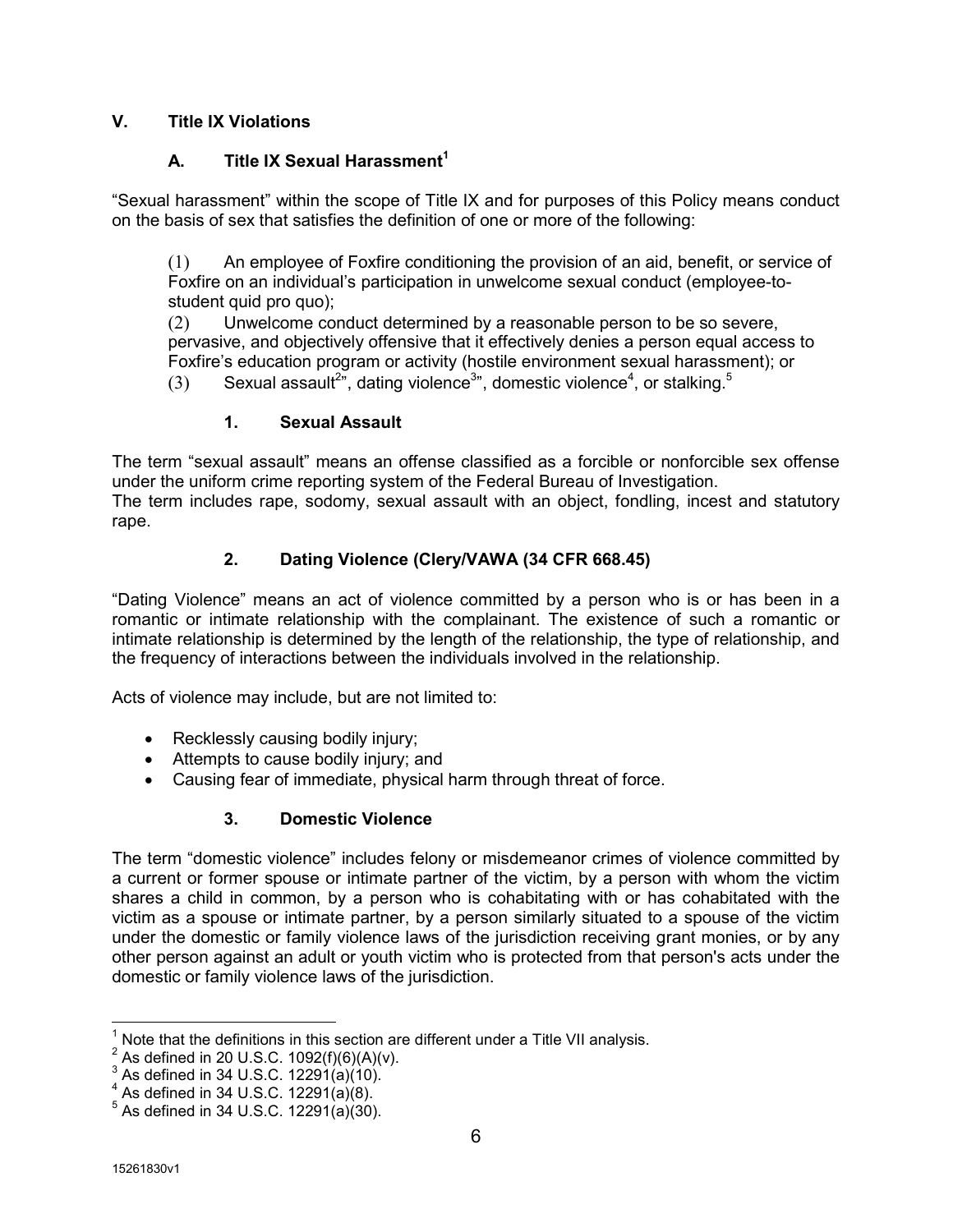## V. Title IX Violations

## A. Title IX Sexual Harassment<sup>1</sup>

"Sexual harassment" within the scope of Title IX and for purposes of this Policy means conduct on the basis of sex that satisfies the definition of one or more of the following:

(1) An employee of Foxfire conditioning the provision of an aid, benefit, or service of Foxfire on an individual's participation in unwelcome sexual conduct (employee-tostudent quid pro quo);

(2) Unwelcome conduct determined by a reasonable person to be so severe, pervasive, and objectively offensive that it effectively denies a person equal access to Foxfire's education program or activity (hostile environment sexual harassment); or

(3) Sexual assault<sup>2</sup>", dating violence<sup>3</sup>", domestic violence<sup>4</sup>, or stalking.<sup>5</sup>

## 1. Sexual Assault

The term "sexual assault" means an offense classified as a forcible or nonforcible sex offense under the uniform crime reporting system of the Federal Bureau of Investigation. The term includes rape, sodomy, sexual assault with an object, fondling, incest and statutory rape.

# 2. Dating Violence (Clery/VAWA (34 CFR 668.45)

"Dating Violence" means an act of violence committed by a person who is or has been in a romantic or intimate relationship with the complainant. The existence of such a romantic or intimate relationship is determined by the length of the relationship, the type of relationship, and the frequency of interactions between the individuals involved in the relationship.

Acts of violence may include, but are not limited to:

- Recklessly causing bodily injury;
- Attempts to cause bodily injury; and
- Causing fear of immediate, physical harm through threat of force.

# 3. Domestic Violence

The term "domestic violence" includes felony or misdemeanor crimes of violence committed by a current or former spouse or intimate partner of the victim, by a person with whom the victim shares a child in common, by a person who is cohabitating with or has cohabitated with the victim as a spouse or intimate partner, by a person similarly situated to a spouse of the victim under the domestic or family violence laws of the jurisdiction receiving grant monies, or by any other person against an adult or youth victim who is protected from that person's acts under the domestic or family violence laws of the jurisdiction.

 $\overline{a}$ 

 $^1$  Note that the definitions in this section are different under a Title VII analysis.

<sup>&</sup>lt;sup>2</sup> As defined in 20 U.S.C. 1092(f)(6)(A)(v).

 $^3$  As defined in 34 U.S.C. 12291(a)(10).

 $^4$  As defined in 34 U.S.C. 12291(a)(8).

 $^5$  As defined in 34 U.S.C. 12291(a)(30).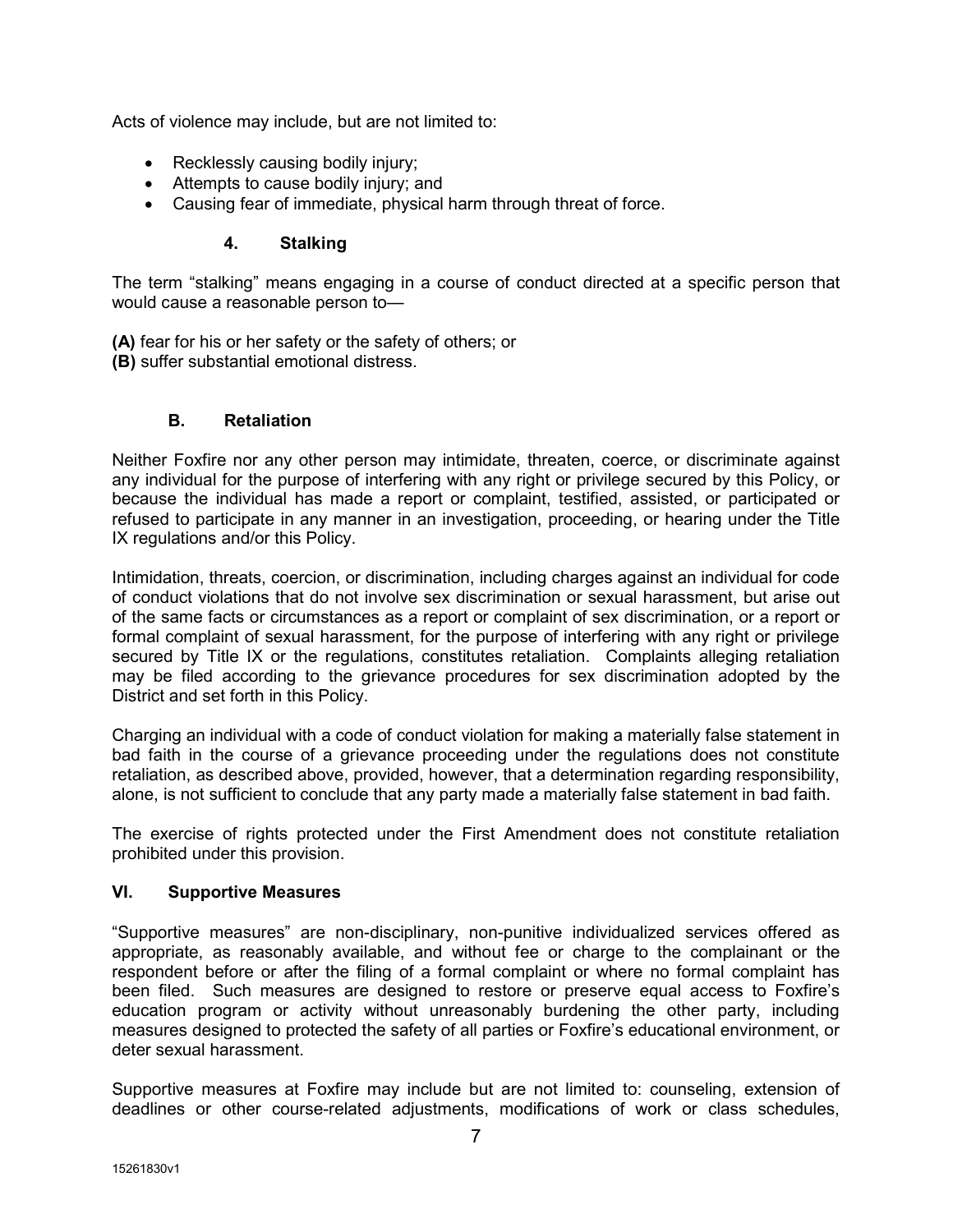Acts of violence may include, but are not limited to:

- Recklessly causing bodily injury;
- Attempts to cause bodily injury; and
- Causing fear of immediate, physical harm through threat of force.

#### 4. Stalking

The term "stalking" means engaging in a course of conduct directed at a specific person that would cause a reasonable person to—

(A) fear for his or her safety or the safety of others; or

(B) suffer substantial emotional distress.

#### B. Retaliation

Neither Foxfire nor any other person may intimidate, threaten, coerce, or discriminate against any individual for the purpose of interfering with any right or privilege secured by this Policy, or because the individual has made a report or complaint, testified, assisted, or participated or refused to participate in any manner in an investigation, proceeding, or hearing under the Title IX regulations and/or this Policy.

Intimidation, threats, coercion, or discrimination, including charges against an individual for code of conduct violations that do not involve sex discrimination or sexual harassment, but arise out of the same facts or circumstances as a report or complaint of sex discrimination, or a report or formal complaint of sexual harassment, for the purpose of interfering with any right or privilege secured by Title IX or the regulations, constitutes retaliation. Complaints alleging retaliation may be filed according to the grievance procedures for sex discrimination adopted by the District and set forth in this Policy.

Charging an individual with a code of conduct violation for making a materially false statement in bad faith in the course of a grievance proceeding under the regulations does not constitute retaliation, as described above, provided, however, that a determination regarding responsibility, alone, is not sufficient to conclude that any party made a materially false statement in bad faith.

The exercise of rights protected under the First Amendment does not constitute retaliation prohibited under this provision.

#### VI. Supportive Measures

"Supportive measures" are non-disciplinary, non-punitive individualized services offered as appropriate, as reasonably available, and without fee or charge to the complainant or the respondent before or after the filing of a formal complaint or where no formal complaint has been filed. Such measures are designed to restore or preserve equal access to Foxfire's education program or activity without unreasonably burdening the other party, including measures designed to protected the safety of all parties or Foxfire's educational environment, or deter sexual harassment.

Supportive measures at Foxfire may include but are not limited to: counseling, extension of deadlines or other course-related adjustments, modifications of work or class schedules,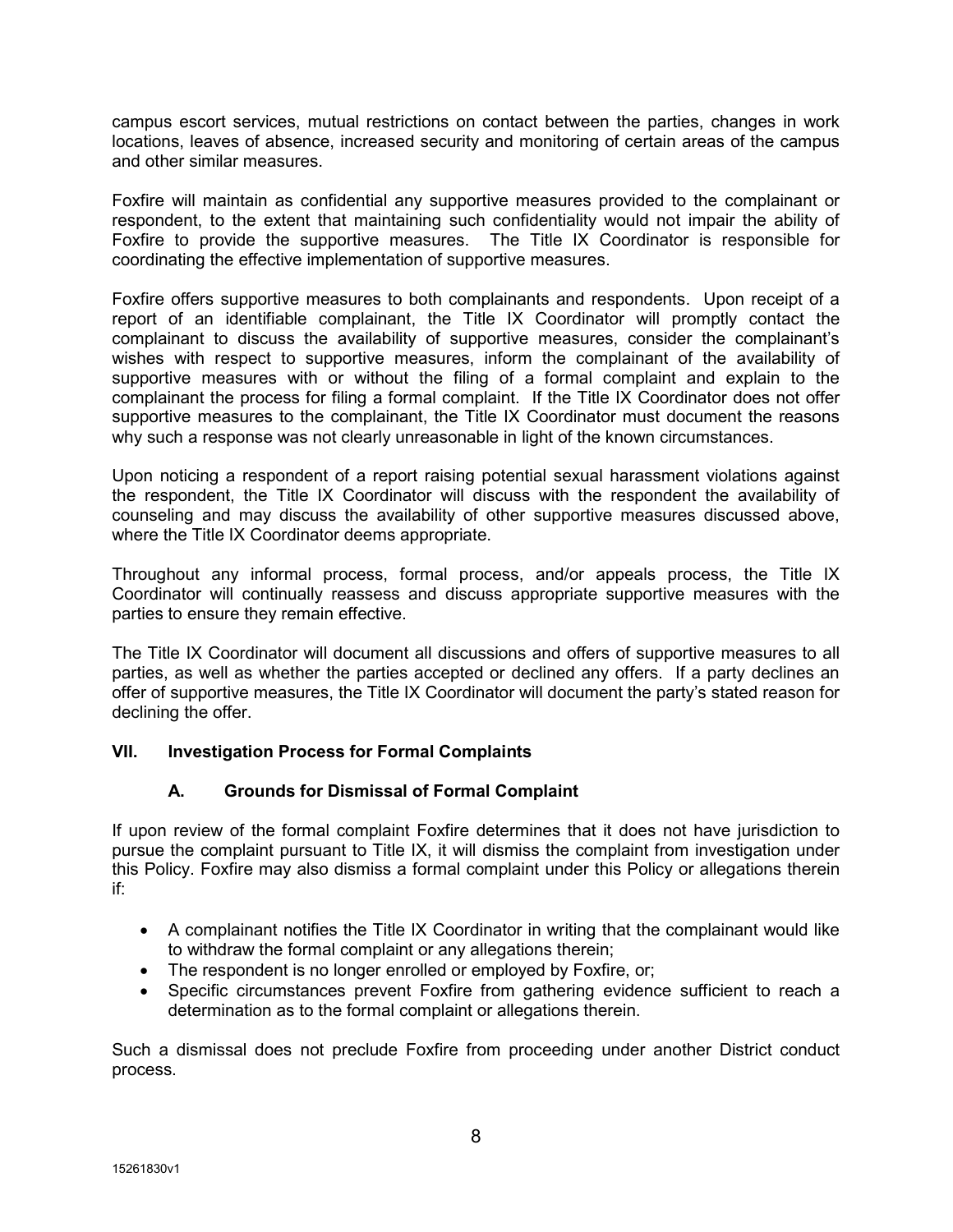campus escort services, mutual restrictions on contact between the parties, changes in work locations, leaves of absence, increased security and monitoring of certain areas of the campus and other similar measures.

Foxfire will maintain as confidential any supportive measures provided to the complainant or respondent, to the extent that maintaining such confidentiality would not impair the ability of Foxfire to provide the supportive measures. The Title IX Coordinator is responsible for coordinating the effective implementation of supportive measures.

Foxfire offers supportive measures to both complainants and respondents. Upon receipt of a report of an identifiable complainant, the Title IX Coordinator will promptly contact the complainant to discuss the availability of supportive measures, consider the complainant's wishes with respect to supportive measures, inform the complainant of the availability of supportive measures with or without the filing of a formal complaint and explain to the complainant the process for filing a formal complaint. If the Title IX Coordinator does not offer supportive measures to the complainant, the Title IX Coordinator must document the reasons why such a response was not clearly unreasonable in light of the known circumstances.

Upon noticing a respondent of a report raising potential sexual harassment violations against the respondent, the Title IX Coordinator will discuss with the respondent the availability of counseling and may discuss the availability of other supportive measures discussed above, where the Title IX Coordinator deems appropriate.

Throughout any informal process, formal process, and/or appeals process, the Title IX Coordinator will continually reassess and discuss appropriate supportive measures with the parties to ensure they remain effective.

The Title IX Coordinator will document all discussions and offers of supportive measures to all parties, as well as whether the parties accepted or declined any offers. If a party declines an offer of supportive measures, the Title IX Coordinator will document the party's stated reason for declining the offer.

## VII. Investigation Process for Formal Complaints

## A. Grounds for Dismissal of Formal Complaint

If upon review of the formal complaint Foxfire determines that it does not have jurisdiction to pursue the complaint pursuant to Title IX, it will dismiss the complaint from investigation under this Policy. Foxfire may also dismiss a formal complaint under this Policy or allegations therein if:

- A complainant notifies the Title IX Coordinator in writing that the complainant would like to withdraw the formal complaint or any allegations therein;
- The respondent is no longer enrolled or employed by Foxfire, or;
- Specific circumstances prevent Foxfire from gathering evidence sufficient to reach a determination as to the formal complaint or allegations therein.

Such a dismissal does not preclude Foxfire from proceeding under another District conduct process.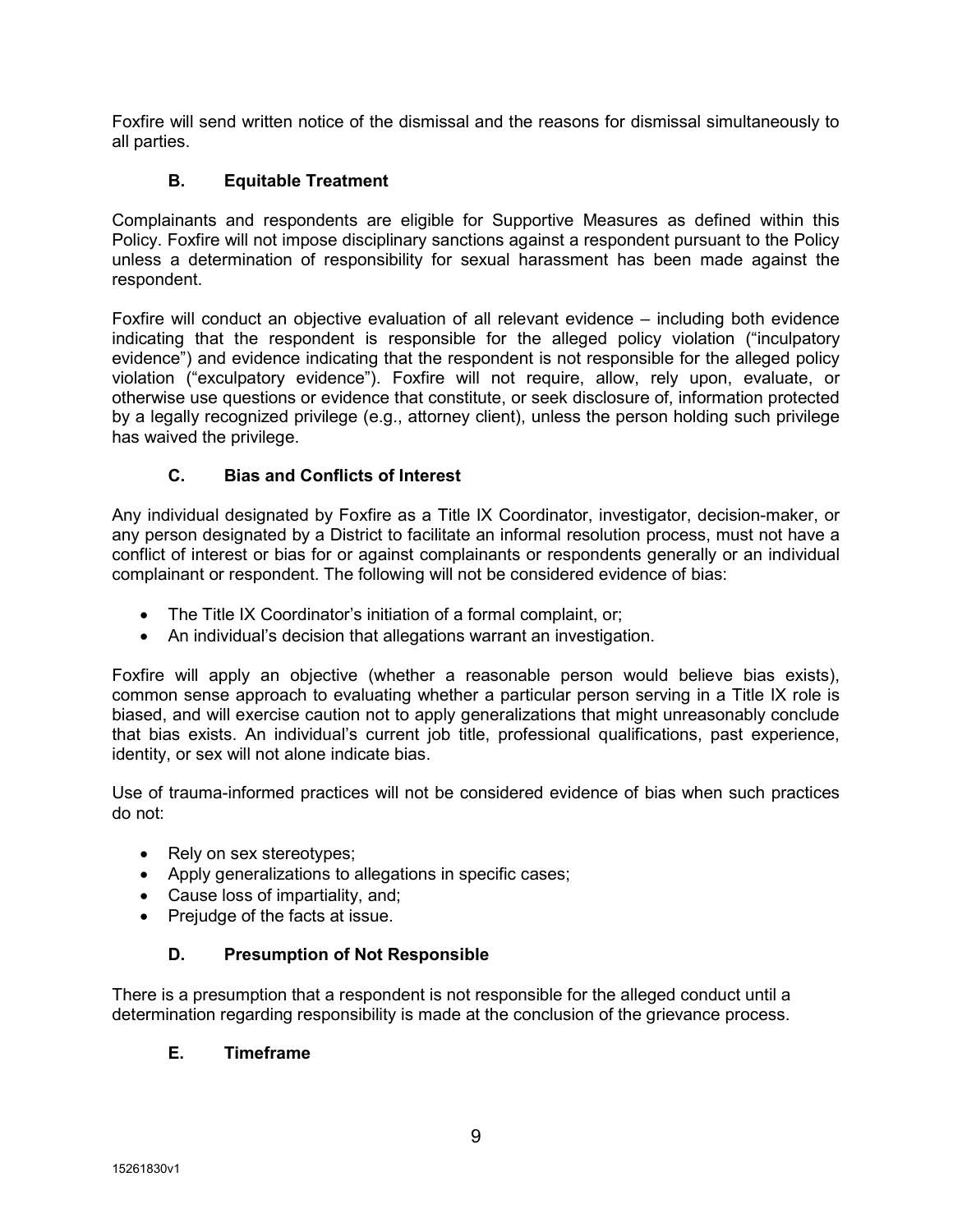Foxfire will send written notice of the dismissal and the reasons for dismissal simultaneously to all parties.

## B. Equitable Treatment

Complainants and respondents are eligible for Supportive Measures as defined within this Policy. Foxfire will not impose disciplinary sanctions against a respondent pursuant to the Policy unless a determination of responsibility for sexual harassment has been made against the respondent.

Foxfire will conduct an objective evaluation of all relevant evidence – including both evidence indicating that the respondent is responsible for the alleged policy violation ("inculpatory evidence") and evidence indicating that the respondent is not responsible for the alleged policy violation ("exculpatory evidence"). Foxfire will not require, allow, rely upon, evaluate, or otherwise use questions or evidence that constitute, or seek disclosure of, information protected by a legally recognized privilege (e.g., attorney client), unless the person holding such privilege has waived the privilege.

## C. Bias and Conflicts of Interest

Any individual designated by Foxfire as a Title IX Coordinator, investigator, decision-maker, or any person designated by a District to facilitate an informal resolution process, must not have a conflict of interest or bias for or against complainants or respondents generally or an individual complainant or respondent. The following will not be considered evidence of bias:

- The Title IX Coordinator's initiation of a formal complaint, or;
- An individual's decision that allegations warrant an investigation.

Foxfire will apply an objective (whether a reasonable person would believe bias exists), common sense approach to evaluating whether a particular person serving in a Title IX role is biased, and will exercise caution not to apply generalizations that might unreasonably conclude that bias exists. An individual's current job title, professional qualifications, past experience, identity, or sex will not alone indicate bias.

Use of trauma-informed practices will not be considered evidence of bias when such practices do not:

- Rely on sex stereotypes;
- Apply generalizations to allegations in specific cases;
- Cause loss of impartiality, and;
- Prejudge of the facts at issue.

## D. Presumption of Not Responsible

There is a presumption that a respondent is not responsible for the alleged conduct until a determination regarding responsibility is made at the conclusion of the grievance process.

#### E. Timeframe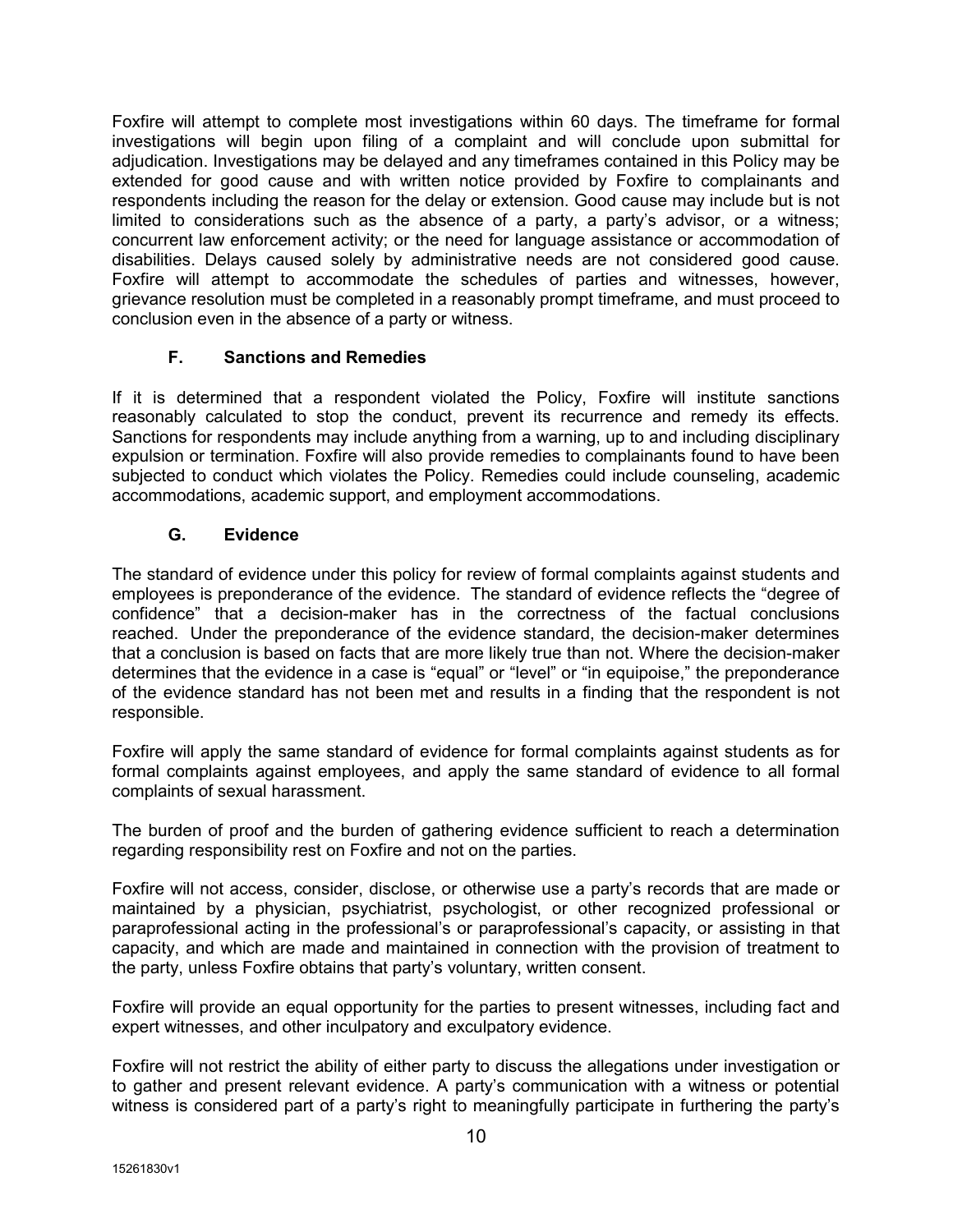Foxfire will attempt to complete most investigations within 60 days. The timeframe for formal investigations will begin upon filing of a complaint and will conclude upon submittal for adjudication. Investigations may be delayed and any timeframes contained in this Policy may be extended for good cause and with written notice provided by Foxfire to complainants and respondents including the reason for the delay or extension. Good cause may include but is not limited to considerations such as the absence of a party, a party's advisor, or a witness; concurrent law enforcement activity; or the need for language assistance or accommodation of disabilities. Delays caused solely by administrative needs are not considered good cause. Foxfire will attempt to accommodate the schedules of parties and witnesses, however, grievance resolution must be completed in a reasonably prompt timeframe, and must proceed to conclusion even in the absence of a party or witness.

## F. Sanctions and Remedies

If it is determined that a respondent violated the Policy, Foxfire will institute sanctions reasonably calculated to stop the conduct, prevent its recurrence and remedy its effects. Sanctions for respondents may include anything from a warning, up to and including disciplinary expulsion or termination. Foxfire will also provide remedies to complainants found to have been subjected to conduct which violates the Policy. Remedies could include counseling, academic accommodations, academic support, and employment accommodations.

## G. Evidence

The standard of evidence under this policy for review of formal complaints against students and employees is preponderance of the evidence. The standard of evidence reflects the "degree of confidence" that a decision-maker has in the correctness of the factual conclusions reached. Under the preponderance of the evidence standard, the decision-maker determines that a conclusion is based on facts that are more likely true than not. Where the decision-maker determines that the evidence in a case is "equal" or "level" or "in equipoise," the preponderance of the evidence standard has not been met and results in a finding that the respondent is not responsible.

Foxfire will apply the same standard of evidence for formal complaints against students as for formal complaints against employees, and apply the same standard of evidence to all formal complaints of sexual harassment.

The burden of proof and the burden of gathering evidence sufficient to reach a determination regarding responsibility rest on Foxfire and not on the parties.

Foxfire will not access, consider, disclose, or otherwise use a party's records that are made or maintained by a physician, psychiatrist, psychologist, or other recognized professional or paraprofessional acting in the professional's or paraprofessional's capacity, or assisting in that capacity, and which are made and maintained in connection with the provision of treatment to the party, unless Foxfire obtains that party's voluntary, written consent.

Foxfire will provide an equal opportunity for the parties to present witnesses, including fact and expert witnesses, and other inculpatory and exculpatory evidence.

Foxfire will not restrict the ability of either party to discuss the allegations under investigation or to gather and present relevant evidence. A party's communication with a witness or potential witness is considered part of a party's right to meaningfully participate in furthering the party's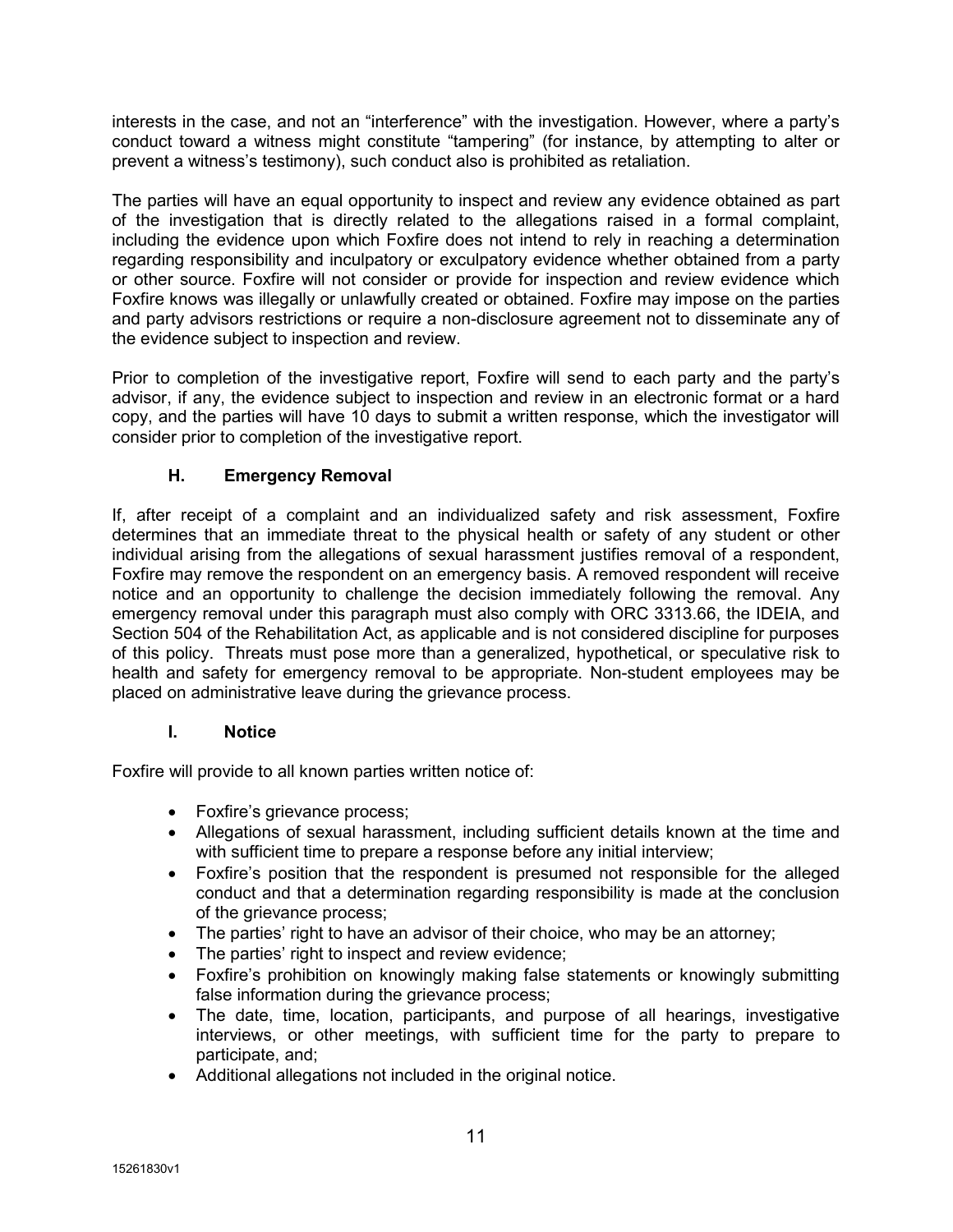interests in the case, and not an "interference" with the investigation. However, where a party's conduct toward a witness might constitute "tampering" (for instance, by attempting to alter or prevent a witness's testimony), such conduct also is prohibited as retaliation.

The parties will have an equal opportunity to inspect and review any evidence obtained as part of the investigation that is directly related to the allegations raised in a formal complaint, including the evidence upon which Foxfire does not intend to rely in reaching a determination regarding responsibility and inculpatory or exculpatory evidence whether obtained from a party or other source. Foxfire will not consider or provide for inspection and review evidence which Foxfire knows was illegally or unlawfully created or obtained. Foxfire may impose on the parties and party advisors restrictions or require a non-disclosure agreement not to disseminate any of the evidence subject to inspection and review.

Prior to completion of the investigative report, Foxfire will send to each party and the party's advisor, if any, the evidence subject to inspection and review in an electronic format or a hard copy, and the parties will have 10 days to submit a written response, which the investigator will consider prior to completion of the investigative report.

## H. Emergency Removal

If, after receipt of a complaint and an individualized safety and risk assessment, Foxfire determines that an immediate threat to the physical health or safety of any student or other individual arising from the allegations of sexual harassment justifies removal of a respondent, Foxfire may remove the respondent on an emergency basis. A removed respondent will receive notice and an opportunity to challenge the decision immediately following the removal. Any emergency removal under this paragraph must also comply with ORC 3313.66, the IDEIA, and Section 504 of the Rehabilitation Act, as applicable and is not considered discipline for purposes of this policy. Threats must pose more than a generalized, hypothetical, or speculative risk to health and safety for emergency removal to be appropriate. Non-student employees may be placed on administrative leave during the grievance process.

## I. Notice

Foxfire will provide to all known parties written notice of:

- Foxfire's grievance process;
- Allegations of sexual harassment, including sufficient details known at the time and with sufficient time to prepare a response before any initial interview;
- Foxfire's position that the respondent is presumed not responsible for the alleged conduct and that a determination regarding responsibility is made at the conclusion of the grievance process;
- The parties' right to have an advisor of their choice, who may be an attorney;
- The parties' right to inspect and review evidence;
- Foxfire's prohibition on knowingly making false statements or knowingly submitting false information during the grievance process;
- The date, time, location, participants, and purpose of all hearings, investigative interviews, or other meetings, with sufficient time for the party to prepare to participate, and;
- Additional allegations not included in the original notice.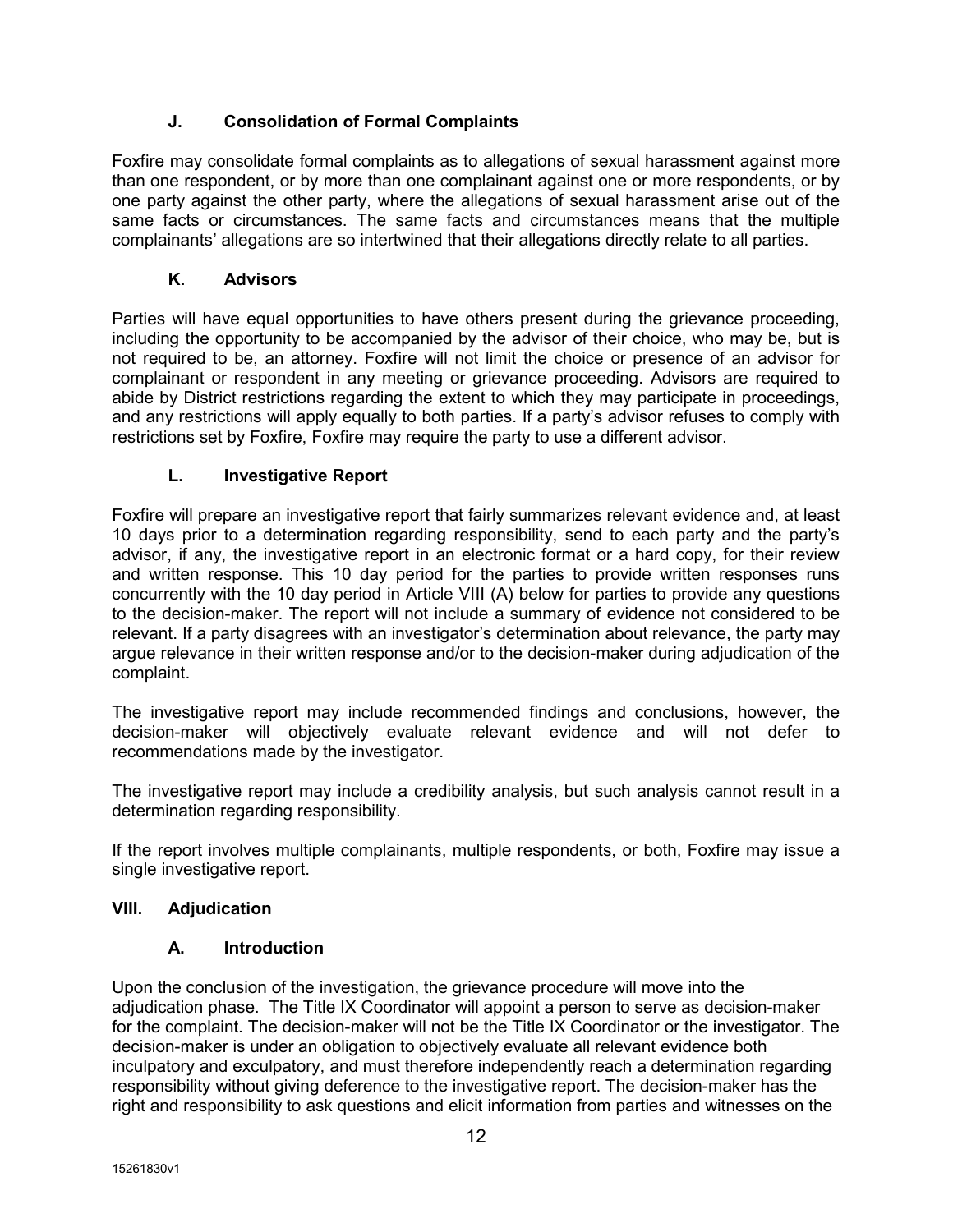## J. Consolidation of Formal Complaints

Foxfire may consolidate formal complaints as to allegations of sexual harassment against more than one respondent, or by more than one complainant against one or more respondents, or by one party against the other party, where the allegations of sexual harassment arise out of the same facts or circumstances. The same facts and circumstances means that the multiple complainants' allegations are so intertwined that their allegations directly relate to all parties.

## K. Advisors

Parties will have equal opportunities to have others present during the grievance proceeding, including the opportunity to be accompanied by the advisor of their choice, who may be, but is not required to be, an attorney. Foxfire will not limit the choice or presence of an advisor for complainant or respondent in any meeting or grievance proceeding. Advisors are required to abide by District restrictions regarding the extent to which they may participate in proceedings, and any restrictions will apply equally to both parties. If a party's advisor refuses to comply with restrictions set by Foxfire, Foxfire may require the party to use a different advisor.

## L. Investigative Report

Foxfire will prepare an investigative report that fairly summarizes relevant evidence and, at least 10 days prior to a determination regarding responsibility, send to each party and the party's advisor, if any, the investigative report in an electronic format or a hard copy, for their review and written response. This 10 day period for the parties to provide written responses runs concurrently with the 10 day period in Article VIII (A) below for parties to provide any questions to the decision-maker. The report will not include a summary of evidence not considered to be relevant. If a party disagrees with an investigator's determination about relevance, the party may argue relevance in their written response and/or to the decision-maker during adjudication of the complaint.

The investigative report may include recommended findings and conclusions, however, the decision-maker will objectively evaluate relevant evidence and will not defer to recommendations made by the investigator.

The investigative report may include a credibility analysis, but such analysis cannot result in a determination regarding responsibility.

If the report involves multiple complainants, multiple respondents, or both, Foxfire may issue a single investigative report.

## VIII. Adjudication

## A. Introduction

Upon the conclusion of the investigation, the grievance procedure will move into the adjudication phase. The Title IX Coordinator will appoint a person to serve as decision-maker for the complaint. The decision-maker will not be the Title IX Coordinator or the investigator. The decision-maker is under an obligation to objectively evaluate all relevant evidence both inculpatory and exculpatory, and must therefore independently reach a determination regarding responsibility without giving deference to the investigative report. The decision-maker has the right and responsibility to ask questions and elicit information from parties and witnesses on the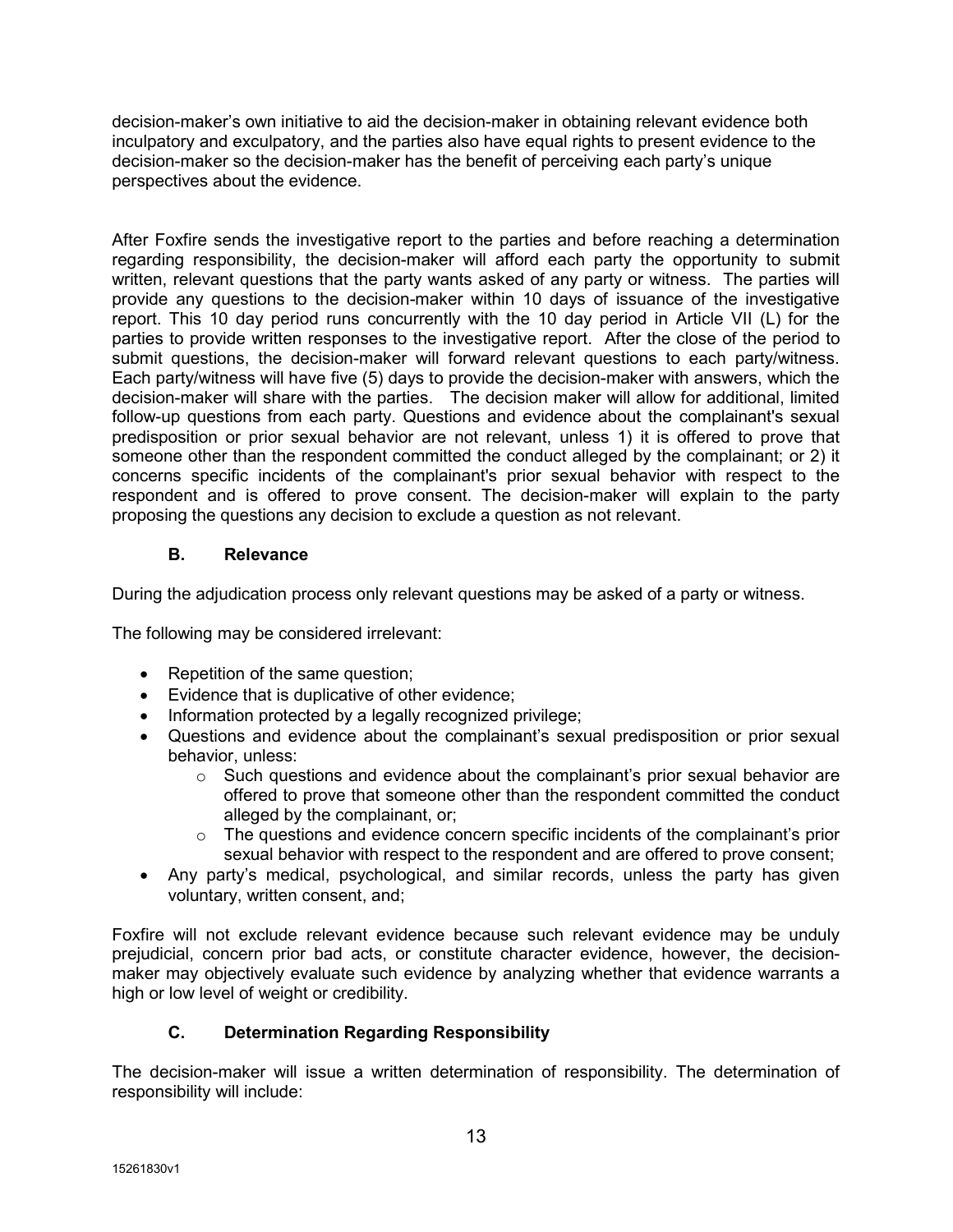decision-maker's own initiative to aid the decision-maker in obtaining relevant evidence both inculpatory and exculpatory, and the parties also have equal rights to present evidence to the decision-maker so the decision-maker has the benefit of perceiving each party's unique perspectives about the evidence.

After Foxfire sends the investigative report to the parties and before reaching a determination regarding responsibility, the decision-maker will afford each party the opportunity to submit written, relevant questions that the party wants asked of any party or witness. The parties will provide any questions to the decision-maker within 10 days of issuance of the investigative report. This 10 day period runs concurrently with the 10 day period in Article VII (L) for the parties to provide written responses to the investigative report. After the close of the period to submit questions, the decision-maker will forward relevant questions to each party/witness. Each party/witness will have five (5) days to provide the decision-maker with answers, which the decision-maker will share with the parties. The decision maker will allow for additional, limited follow-up questions from each party. Questions and evidence about the complainant's sexual predisposition or prior sexual behavior are not relevant, unless 1) it is offered to prove that someone other than the respondent committed the conduct alleged by the complainant; or 2) it concerns specific incidents of the complainant's prior sexual behavior with respect to the respondent and is offered to prove consent. The decision-maker will explain to the party proposing the questions any decision to exclude a question as not relevant.

## B. Relevance

During the adjudication process only relevant questions may be asked of a party or witness.

The following may be considered irrelevant:

- Repetition of the same question;
- Evidence that is duplicative of other evidence;
- Information protected by a legally recognized privilege;
- Questions and evidence about the complainant's sexual predisposition or prior sexual behavior, unless:
	- $\circ$  Such questions and evidence about the complainant's prior sexual behavior are offered to prove that someone other than the respondent committed the conduct alleged by the complainant, or;
	- $\circ$  The questions and evidence concern specific incidents of the complainant's prior sexual behavior with respect to the respondent and are offered to prove consent;
- Any party's medical, psychological, and similar records, unless the party has given voluntary, written consent, and;

Foxfire will not exclude relevant evidence because such relevant evidence may be unduly prejudicial, concern prior bad acts, or constitute character evidence, however, the decisionmaker may objectively evaluate such evidence by analyzing whether that evidence warrants a high or low level of weight or credibility.

## C. Determination Regarding Responsibility

The decision-maker will issue a written determination of responsibility. The determination of responsibility will include: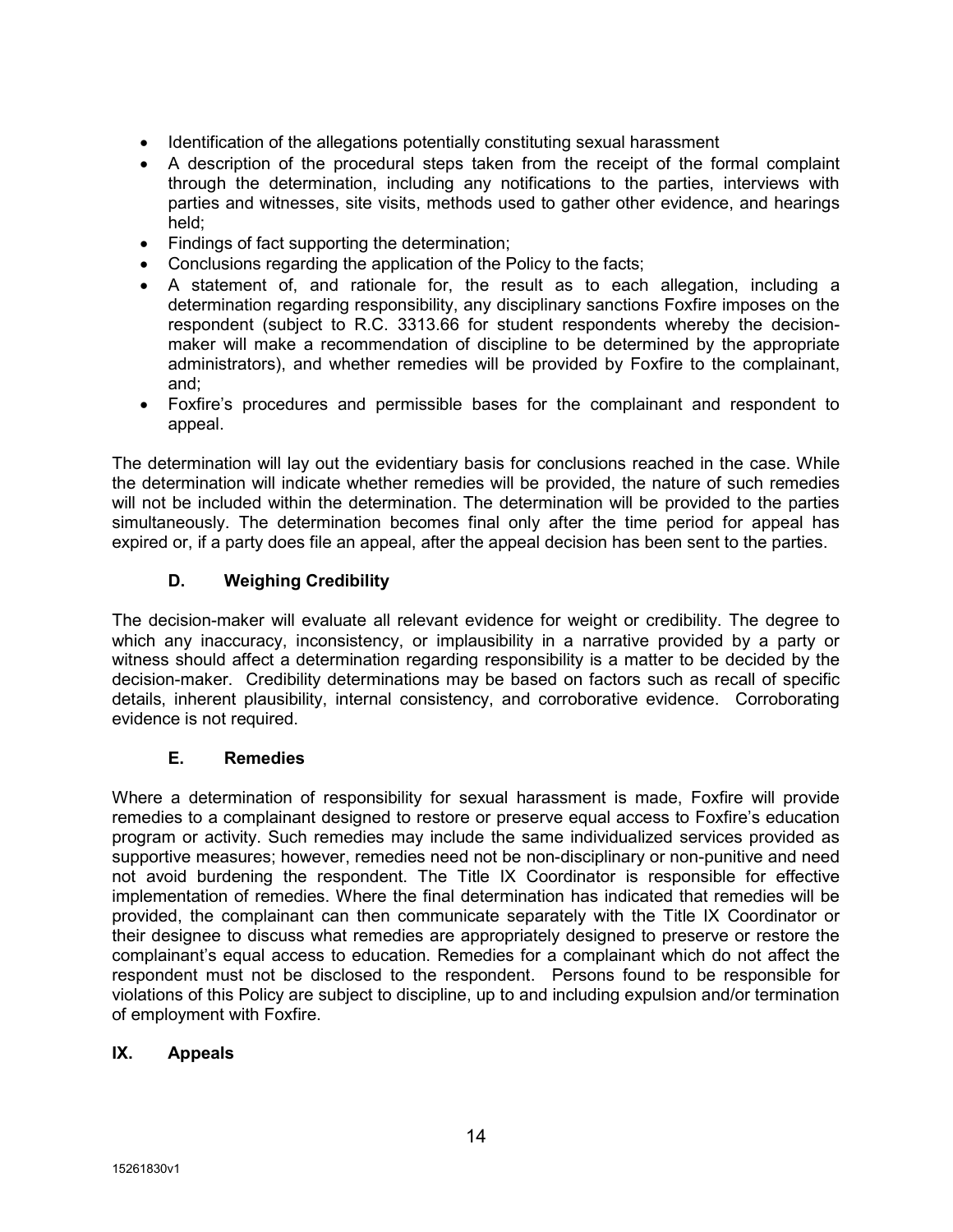- Identification of the allegations potentially constituting sexual harassment
- A description of the procedural steps taken from the receipt of the formal complaint through the determination, including any notifications to the parties, interviews with parties and witnesses, site visits, methods used to gather other evidence, and hearings held;
- Findings of fact supporting the determination;
- Conclusions regarding the application of the Policy to the facts;
- A statement of, and rationale for, the result as to each allegation, including a determination regarding responsibility, any disciplinary sanctions Foxfire imposes on the respondent (subject to R.C. 3313.66 for student respondents whereby the decisionmaker will make a recommendation of discipline to be determined by the appropriate administrators), and whether remedies will be provided by Foxfire to the complainant, and;
- Foxfire's procedures and permissible bases for the complainant and respondent to appeal.

The determination will lay out the evidentiary basis for conclusions reached in the case. While the determination will indicate whether remedies will be provided, the nature of such remedies will not be included within the determination. The determination will be provided to the parties simultaneously. The determination becomes final only after the time period for appeal has expired or, if a party does file an appeal, after the appeal decision has been sent to the parties.

## D. Weighing Credibility

The decision-maker will evaluate all relevant evidence for weight or credibility. The degree to which any inaccuracy, inconsistency, or implausibility in a narrative provided by a party or witness should affect a determination regarding responsibility is a matter to be decided by the decision-maker. Credibility determinations may be based on factors such as recall of specific details, inherent plausibility, internal consistency, and corroborative evidence. Corroborating evidence is not required.

## E. Remedies

Where a determination of responsibility for sexual harassment is made, Foxfire will provide remedies to a complainant designed to restore or preserve equal access to Foxfire's education program or activity. Such remedies may include the same individualized services provided as supportive measures; however, remedies need not be non-disciplinary or non-punitive and need not avoid burdening the respondent. The Title IX Coordinator is responsible for effective implementation of remedies. Where the final determination has indicated that remedies will be provided, the complainant can then communicate separately with the Title IX Coordinator or their designee to discuss what remedies are appropriately designed to preserve or restore the complainant's equal access to education. Remedies for a complainant which do not affect the respondent must not be disclosed to the respondent. Persons found to be responsible for violations of this Policy are subject to discipline, up to and including expulsion and/or termination of employment with Foxfire.

## IX. Appeals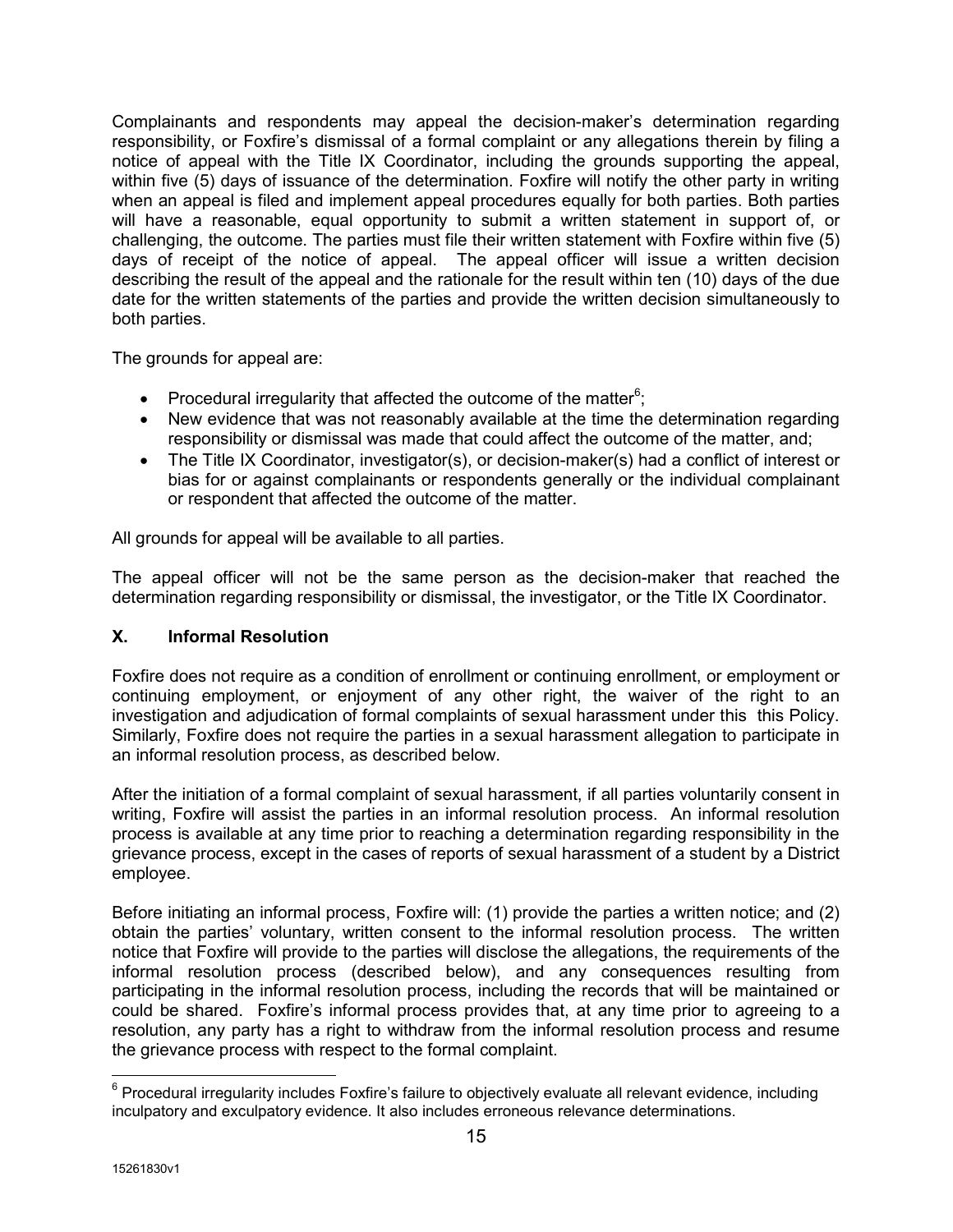Complainants and respondents may appeal the decision-maker's determination regarding responsibility, or Foxfire's dismissal of a formal complaint or any allegations therein by filing a notice of appeal with the Title IX Coordinator, including the grounds supporting the appeal, within five (5) days of issuance of the determination. Foxfire will notify the other party in writing when an appeal is filed and implement appeal procedures equally for both parties. Both parties will have a reasonable, equal opportunity to submit a written statement in support of, or challenging, the outcome. The parties must file their written statement with Foxfire within five (5) days of receipt of the notice of appeal. The appeal officer will issue a written decision describing the result of the appeal and the rationale for the result within ten (10) days of the due date for the written statements of the parties and provide the written decision simultaneously to both parties.

The grounds for appeal are:

- Procedural irregularity that affected the outcome of the matter<sup>6</sup>;
- New evidence that was not reasonably available at the time the determination regarding responsibility or dismissal was made that could affect the outcome of the matter, and;
- The Title IX Coordinator, investigator(s), or decision-maker(s) had a conflict of interest or bias for or against complainants or respondents generally or the individual complainant or respondent that affected the outcome of the matter.

All grounds for appeal will be available to all parties.

The appeal officer will not be the same person as the decision-maker that reached the determination regarding responsibility or dismissal, the investigator, or the Title IX Coordinator.

## X. Informal Resolution

Foxfire does not require as a condition of enrollment or continuing enrollment, or employment or continuing employment, or enjoyment of any other right, the waiver of the right to an investigation and adjudication of formal complaints of sexual harassment under this this Policy. Similarly, Foxfire does not require the parties in a sexual harassment allegation to participate in an informal resolution process, as described below.

After the initiation of a formal complaint of sexual harassment, if all parties voluntarily consent in writing, Foxfire will assist the parties in an informal resolution process. An informal resolution process is available at any time prior to reaching a determination regarding responsibility in the grievance process, except in the cases of reports of sexual harassment of a student by a District employee.

Before initiating an informal process, Foxfire will: (1) provide the parties a written notice; and (2) obtain the parties' voluntary, written consent to the informal resolution process. The written notice that Foxfire will provide to the parties will disclose the allegations, the requirements of the informal resolution process (described below), and any consequences resulting from participating in the informal resolution process, including the records that will be maintained or could be shared. Foxfire's informal process provides that, at any time prior to agreeing to a resolution, any party has a right to withdraw from the informal resolution process and resume the grievance process with respect to the formal complaint.

\_\_\_\_\_\_\_\_\_\_\_\_\_\_\_\_\_\_\_\_\_\_\_\_\_\_\_\_\_\_\_\_\_\_\_<br><sup>6</sup> Procedural irregularity includes Foxfire's failure to objectively evaluate all relevant evidence, including inculpatory and exculpatory evidence. It also includes erroneous relevance determinations.